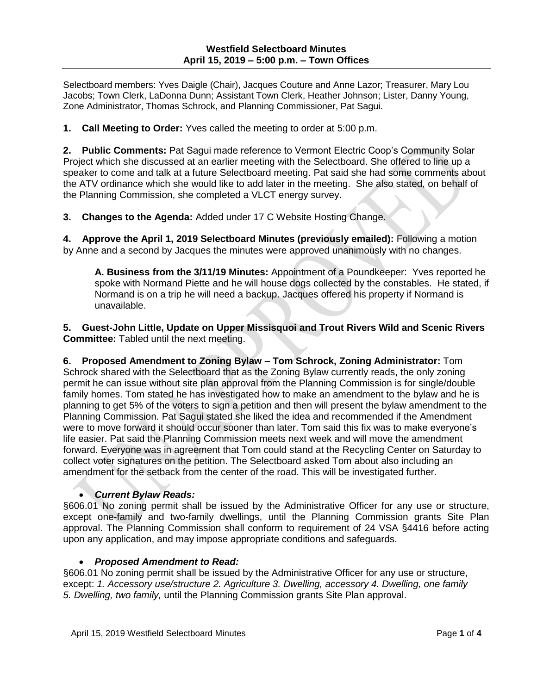Selectboard members: Yves Daigle (Chair), Jacques Couture and Anne Lazor; Treasurer, Mary Lou Jacobs; Town Clerk, LaDonna Dunn; Assistant Town Clerk, Heather Johnson; Lister, Danny Young, Zone Administrator, Thomas Schrock, and Planning Commissioner, Pat Sagui.

**1. Call Meeting to Order:** Yves called the meeting to order at 5:00 p.m.

**2. Public Comments:** Pat Sagui made reference to Vermont Electric Coop's Community Solar Project which she discussed at an earlier meeting with the Selectboard. She offered to line up a speaker to come and talk at a future Selectboard meeting. Pat said she had some comments about the ATV ordinance which she would like to add later in the meeting. She also stated, on behalf of the Planning Commission, she completed a VLCT energy survey.

**3. Changes to the Agenda:** Added under 17 C Website Hosting Change.

**4. Approve the April 1, 2019 Selectboard Minutes (previously emailed):** Following a motion by Anne and a second by Jacques the minutes were approved unanimously with no changes.

**A. Business from the 3/11/19 Minutes:** Appointment of a Poundkeeper: Yves reported he spoke with Normand Piette and he will house dogs collected by the constables. He stated, if Normand is on a trip he will need a backup. Jacques offered his property if Normand is unavailable.

**5. Guest-John Little, Update on Upper Missisquoi and Trout Rivers Wild and Scenic Rivers Committee:** Tabled until the next meeting.

**6. Proposed Amendment to Zoning Bylaw – Tom Schrock, Zoning Administrator:** Tom Schrock shared with the Selectboard that as the Zoning Bylaw currently reads, the only zoning permit he can issue without site plan approval from the Planning Commission is for single/double family homes. Tom stated he has investigated how to make an amendment to the bylaw and he is planning to get 5% of the voters to sign a petition and then will present the bylaw amendment to the Planning Commission. Pat Sagui stated she liked the idea and recommended if the Amendment were to move forward it should occur sooner than later. Tom said this fix was to make everyone's life easier. Pat said the Planning Commission meets next week and will move the amendment forward. Everyone was in agreement that Tom could stand at the Recycling Center on Saturday to collect voter signatures on the petition. The Selectboard asked Tom about also including an amendment for the setback from the center of the road. This will be investigated further.

# *Current Bylaw Reads:*

§606.01 No zoning permit shall be issued by the Administrative Officer for any use or structure, except one-family and two-family dwellings, until the Planning Commission grants Site Plan approval. The Planning Commission shall conform to requirement of 24 VSA §4416 before acting upon any application, and may impose appropriate conditions and safeguards.

# *Proposed Amendment to Read:*

§606.01 No zoning permit shall be issued by the Administrative Officer for any use or structure, except: *1. Accessory use/structure 2. Agriculture 3. Dwelling, accessory 4. Dwelling, one family 5. Dwelling, two family,* until the Planning Commission grants Site Plan approval.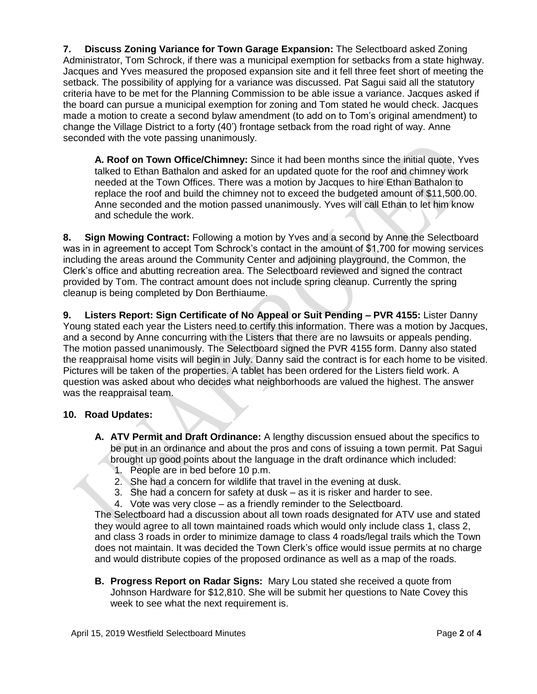**7. Discuss Zoning Variance for Town Garage Expansion:** The Selectboard asked Zoning Administrator, Tom Schrock, if there was a municipal exemption for setbacks from a state highway. Jacques and Yves measured the proposed expansion site and it fell three feet short of meeting the setback. The possibility of applying for a variance was discussed. Pat Sagui said all the statutory criteria have to be met for the Planning Commission to be able issue a variance. Jacques asked if the board can pursue a municipal exemption for zoning and Tom stated he would check. Jacques made a motion to create a second bylaw amendment (to add on to Tom's original amendment) to change the Village District to a forty (40') frontage setback from the road right of way. Anne seconded with the vote passing unanimously.

**A. Roof on Town Office/Chimney:** Since it had been months since the initial quote, Yves talked to Ethan Bathalon and asked for an updated quote for the roof and chimney work needed at the Town Offices. There was a motion by Jacques to hire Ethan Bathalon to replace the roof and build the chimney not to exceed the budgeted amount of \$11,500.00. Anne seconded and the motion passed unanimously. Yves will call Ethan to let him know and schedule the work.

**8. Sign Mowing Contract:** Following a motion by Yves and a second by Anne the Selectboard was in in agreement to accept Tom Schrock's contact in the amount of \$1,700 for mowing services including the areas around the Community Center and adjoining playground, the Common, the Clerk's office and abutting recreation area. The Selectboard reviewed and signed the contract provided by Tom. The contract amount does not include spring cleanup. Currently the spring cleanup is being completed by Don Berthiaume.

**9. Listers Report: Sign Certificate of No Appeal or Suit Pending – PVR 4155:** Lister Danny Young stated each year the Listers need to certify this information. There was a motion by Jacques, and a second by Anne concurring with the Listers that there are no lawsuits or appeals pending. The motion passed unanimously. The Selectboard signed the PVR 4155 form. Danny also stated the reappraisal home visits will begin in July. Danny said the contract is for each home to be visited. Pictures will be taken of the properties. A tablet has been ordered for the Listers field work. A question was asked about who decides what neighborhoods are valued the highest. The answer was the reappraisal team.

# **10. Road Updates:**

- **A. ATV Permit and Draft Ordinance:** A lengthy discussion ensued about the specifics to be put in an ordinance and about the pros and cons of issuing a town permit. Pat Sagui brought up good points about the language in the draft ordinance which included:
	- 1. People are in bed before 10 p.m.
	- 2. She had a concern for wildlife that travel in the evening at dusk.
	- 3. She had a concern for safety at dusk as it is risker and harder to see.
	- 4. Vote was very close as a friendly reminder to the Selectboard.

The Selectboard had a discussion about all town roads designated for ATV use and stated they would agree to all town maintained roads which would only include class 1, class 2, and class 3 roads in order to minimize damage to class 4 roads/legal trails which the Town does not maintain. It was decided the Town Clerk's office would issue permits at no charge and would distribute copies of the proposed ordinance as well as a map of the roads.

**B. Progress Report on Radar Signs:** Mary Lou stated she received a quote from Johnson Hardware for \$12,810. She will be submit her questions to Nate Covey this week to see what the next requirement is.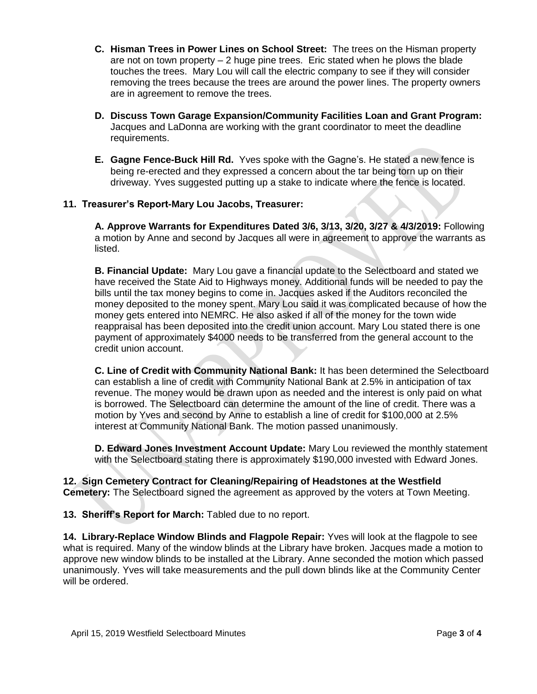- **C. Hisman Trees in Power Lines on School Street:** The trees on the Hisman property are not on town property  $-2$  huge pine trees. Eric stated when he plows the blade touches the trees. Mary Lou will call the electric company to see if they will consider removing the trees because the trees are around the power lines. The property owners are in agreement to remove the trees.
- **D. Discuss Town Garage Expansion/Community Facilities Loan and Grant Program:** Jacques and LaDonna are working with the grant coordinator to meet the deadline requirements.
- **E. Gagne Fence-Buck Hill Rd.** Yves spoke with the Gagne's. He stated a new fence is being re-erected and they expressed a concern about the tar being torn up on their driveway. Yves suggested putting up a stake to indicate where the fence is located.

# **11. Treasurer's Report-Mary Lou Jacobs, Treasurer:**

**A. Approve Warrants for Expenditures Dated 3/6, 3/13, 3/20, 3/27 & 4/3/2019:** Following a motion by Anne and second by Jacques all were in agreement to approve the warrants as listed.

**B. Financial Update:** Mary Lou gave a financial update to the Selectboard and stated we have received the State Aid to Highways money. Additional funds will be needed to pay the bills until the tax money begins to come in. Jacques asked if the Auditors reconciled the money deposited to the money spent. Mary Lou said it was complicated because of how the money gets entered into NEMRC. He also asked if all of the money for the town wide reappraisal has been deposited into the credit union account. Mary Lou stated there is one payment of approximately \$4000 needs to be transferred from the general account to the credit union account.

**C. Line of Credit with Community National Bank:** It has been determined the Selectboard can establish a line of credit with Community National Bank at 2.5% in anticipation of tax revenue. The money would be drawn upon as needed and the interest is only paid on what is borrowed. The Selectboard can determine the amount of the line of credit. There was a motion by Yves and second by Anne to establish a line of credit for \$100,000 at 2.5% interest at Community National Bank. The motion passed unanimously.

**D. Edward Jones Investment Account Update:** Mary Lou reviewed the monthly statement with the Selectboard stating there is approximately \$190,000 invested with Edward Jones.

**12. Sign Cemetery Contract for Cleaning/Repairing of Headstones at the Westfield Cemetery:** The Selectboard signed the agreement as approved by the voters at Town Meeting.

**13. Sheriff's Report for March:** Tabled due to no report.

**14. Library-Replace Window Blinds and Flagpole Repair:** Yves will look at the flagpole to see what is required. Many of the window blinds at the Library have broken. Jacques made a motion to approve new window blinds to be installed at the Library. Anne seconded the motion which passed unanimously. Yves will take measurements and the pull down blinds like at the Community Center will be ordered.